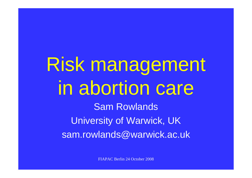# Risk management in abortion care Sam Rowlands University of Warwick, UK sam.rowlands@warwick.ac.uk

FIAPAC Berlin 24 October 2008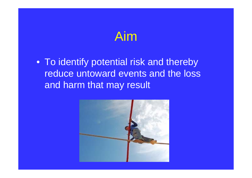### Aim

• To identify potential risk and thereby reduce untoward events and the loss and harm that may result

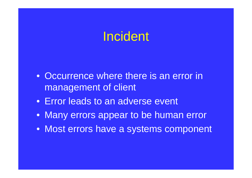#### **Incident**

- Occurrence where there is an error in management of client
- Error leads to an adverse event
- Many errors appear to be human error
- Most errors have a systems component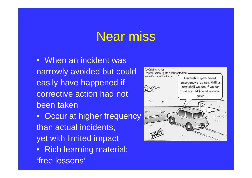#### Near miss

• When an incident was narrowly avoided but could easily have happened if corrective action had not been taken

• Occur at higher frequency than actual incidents, yet with limited impact

• Rich learning material: 'free lessons'

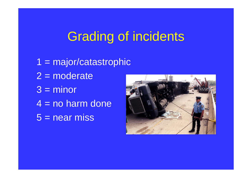# Grading of incidents

1 = major/catastrophic  $2 =$  moderate  $3 =$  minor 4 = no harm done  $\overline{5}$  = near miss

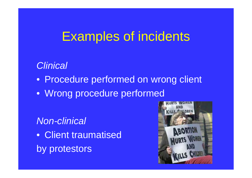# Examples of incidents

#### *Clinical*

- Procedure performed on wrong client
- Wrong procedure performed

#### *Non-clinical*

• Client traumatised by protestors

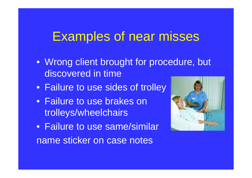### Examples of near misses

- Wrong client brought for procedure, but discovered in time
- Failure to use sides of trolley
- Failure to use brakes on trolleys/wheelchairs
- Failure to use same/similar name sticker on case notes

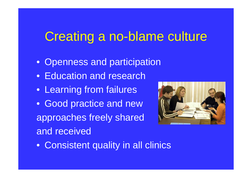# Creating a no-blame culture

- Openness and participation
- Education and research
- Learning from failures
- Good practice and new approaches freely shared and received



• Consistent quality in all clinics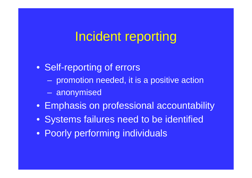#### Incident reporting

- Self-reporting of errors
	- promotion needed, it is a positive action
	- anonymised
- Emphasis on professional accountability
- Systems failures need to be identified
- Poorly performing individuals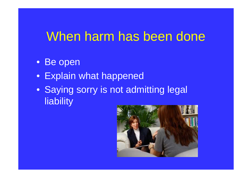### When harm has been done

- Be open
- Explain what happened
- Saying sorry is not admitting legal **liability**

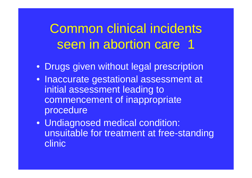Common clinical incidents seen in abortion care 1

- Drugs given without legal prescription
- Inaccurate gestational assessment at initial assessment leading to commencement of inappropriate procedure
- Undiagnosed medical condition: unsuitable for treatment at free-standing clinic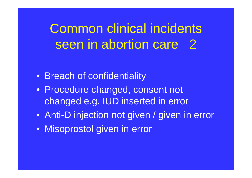Common clinical incidents seen in abortion care 2

- Breach of confidentiality
- Procedure changed, consent not changed e.g. IUD inserted in error
- Anti-D injection not given / given in error
- Misoprostol given in error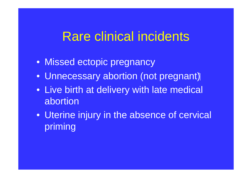#### Rare clinical incidents

- Missed ectopic pregnancy
- Unnecessary abortion (not pregnant)
- Live birth at delivery with late medical abortion
- Uterine injury in the absence of cervical priming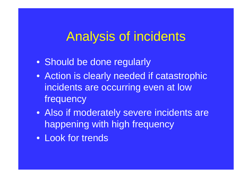### Analysis of incidents

- Should be done regularly
- Action is clearly needed if catastrophic incidents are occurring even at low frequency
- Also if moderately severe incidents are happening with high frequency
- Look for trends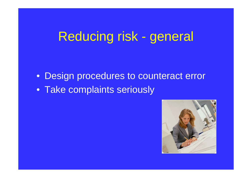# Reducing risk - general

- Design procedures to counteract error
- Take complaints seriously